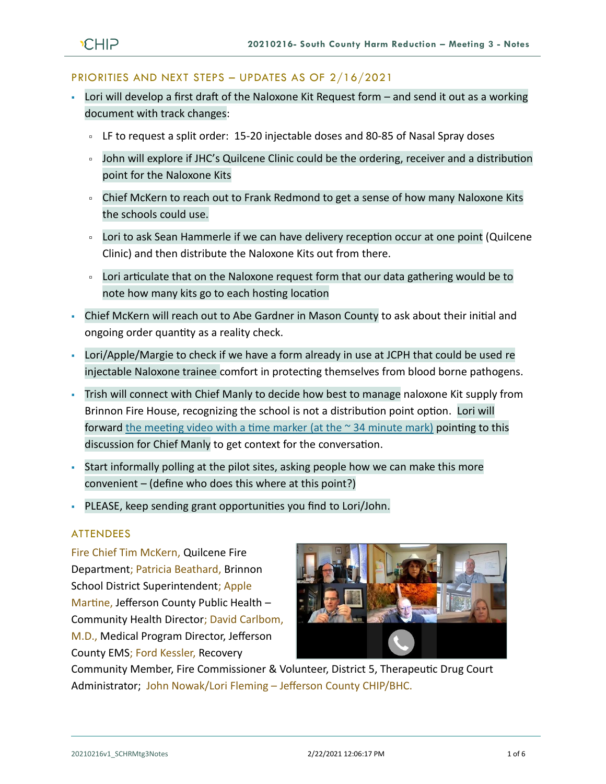#### PRIORITIES AND NEXT STEPS – UPDATES AS OF 2/16/2021

- Lori will develop a first draft of the Naloxone Kit Request form and send it out as a working document with track changes:
	- LF to request a split order: 15-20 injectable doses and 80-85 of Nasal Spray doses
	- John will explore if JHC's Quilcene Clinic could be the ordering, receiver and a distribution point for the Naloxone Kits
	- Chief McKern to reach out to Frank Redmond to get a sense of how many Naloxone Kits the schools could use.
	- Lori to ask Sean Hammerle if we can have delivery reception occur at one point (Quilcene Clinic) and then distribute the Naloxone Kits out from there.
	- Lori articulate that on the Naloxone request form that our data gathering would be to note how many kits go to each hosting location
- Chief McKern will reach out to Abe Gardner in Mason County to ask about their initial and ongoing order quantity as a reality check.
- Lori/Apple/Margie to check if we have a form already in use at JCPH that could be used re injectable Naloxone trainee comfort in protecting themselves from blood borne pathogens.
- Trish will connect with Chief Manly to decide how best to manage naloxone Kit supply from Brinnon Fire House, recognizing the school is not a distribution point option. Lori will forward the meeting video with a time marker (at the  $\sim$  34 minute mark) pointing to this discussion for Chief Manly to get context for the conversation.
- Start informally polling at the pilot sites, asking people how we can make this more convenient – (define who does this where at this point?)
- PLEASE, keep sending grant opportunities you find to Lori/John.

## ATTENDEES

Fire Chief Tim McKern, Quilcene Fire Department; Patricia Beathard, Brinnon School District Superintendent; Apple Martine, Jefferson County Public Health – Community Health Director; David Carlbom, M.D., Medical Program Director, Jefferson County EMS; Ford Kessler, Recovery



Community Member, Fire Commissioner & Volunteer, District 5, Therapeutic Drug Court Administrator; John Nowak/Lori Fleming – Jefferson County CHIP/BHC.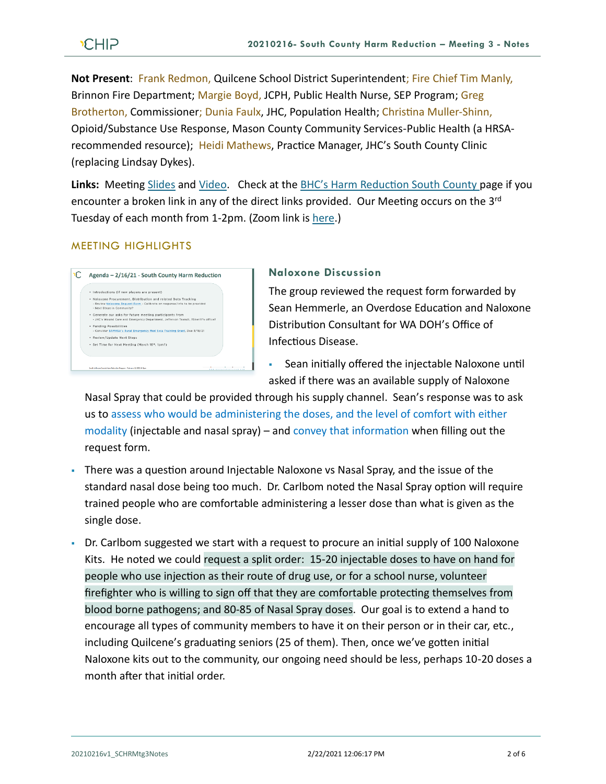**Not Present**: Frank Redmon, Quilcene School District Superintendent; Fire Chief Tim Manly, Brinnon Fire Department; Margie Boyd, JCPH, Public Health Nurse, SEP Program; Greg Brotherton, Commissioner; Dunia Faulx, JHC, Population Health; Christina Muller-Shinn, Opioid/Substance Use Response, Mason County Community Services-Public Health (a HRSArecommended resource); Heidi Mathews, Practice Manager, JHC's South County Clinic (replacing Lindsay Dykes).

Links: Meeting [Slides](https://793b0af6-bf22-4c2c-91c8-8cc6fd2f172d.filesusr.com/ugd/2fdcdd_c6103f6abf09411abc0817628305d286.pdf) and [Video.](https://www.youtube.com/watch?v=LA8CSgcGvwM&feature=youtu.be) Check at the **BHC's Harm Reduction South County page if you** encounter a broken link in any of the direct links provided. Our Meeting occurs on the 3<sup>rd</sup> Tuesday of each month from 1-2pm. (Zoom link i[s here.](https://zoom.us/j/97908186807?pwd=QTFtTTNJRkFnRzJwZ1poK2lvcWxUdz09))

### MEETING HIGHLIGHTS



### **Naloxone Discussion**

The group reviewed the request form forwarded by Sean Hemmerle, an Overdose Education and Naloxone Distribution Consultant for WA DOH's Office of Infectious Disease.

▪ Sean initially offered the injectable Naloxone until asked if there was an available supply of Naloxone

Nasal Spray that could be provided through his supply channel. Sean's response was to ask us to assess who would be administering the doses, and the level of comfort with either modality (injectable and nasal spray) – and convey that information when filling out the request form.

- **There was a question around Injectable Naloxone vs Nasal Spray, and the issue of the** standard nasal dose being too much. Dr. Carlbom noted the Nasal Spray option will require trained people who are comfortable administering a lesser dose than what is given as the single dose.
- Dr. Carlbom suggested we start with a request to procure an initial supply of 100 Naloxone Kits. He noted we could request a split order: 15-20 injectable doses to have on hand for people who use injection as their route of drug use, or for a school nurse, volunteer firefighter who is willing to sign off that they are comfortable protecting themselves from blood borne pathogens; and 80-85 of Nasal Spray doses. Our goal is to extend a hand to encourage all types of community members to have it on their person or in their car, etc., including Quilcene's graduating seniors (25 of them). Then, once we've gotten initial Naloxone kits out to the community, our ongoing need should be less, perhaps 10-20 doses a month after that initial order.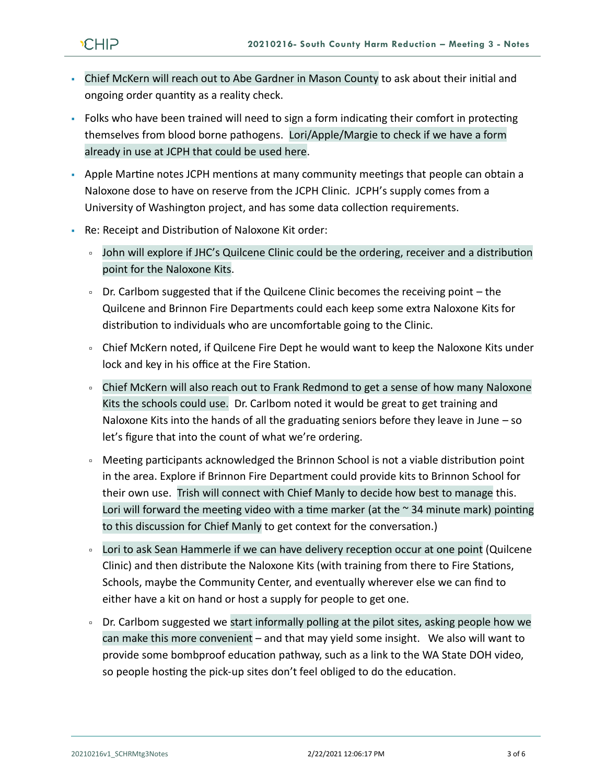- Chief McKern will reach out to Abe Gardner in Mason County to ask about their initial and ongoing order quantity as a reality check.
- Folks who have been trained will need to sign a form indicating their comfort in protecting themselves from blood borne pathogens. Lori/Apple/Margie to check if we have a form already in use at JCPH that could be used here.
- Apple Martine notes JCPH mentions at many community meetings that people can obtain a Naloxone dose to have on reserve from the JCPH Clinic. JCPH's supply comes from a University of Washington project, and has some data collection requirements.
- Re: Receipt and Distribution of Naloxone Kit order:
	- John will explore if JHC's Quilcene Clinic could be the ordering, receiver and a distribution point for the Naloxone Kits.
	- Dr. Carlbom suggested that if the Quilcene Clinic becomes the receiving point the Quilcene and Brinnon Fire Departments could each keep some extra Naloxone Kits for distribution to individuals who are uncomfortable going to the Clinic.
	- Chief McKern noted, if Quilcene Fire Dept he would want to keep the Naloxone Kits under lock and key in his office at the Fire Station.
	- Chief McKern will also reach out to Frank Redmond to get a sense of how many Naloxone Kits the schools could use. Dr. Carlbom noted it would be great to get training and Naloxone Kits into the hands of all the graduating seniors before they leave in June – so let's figure that into the count of what we're ordering.
	- Meeting participants acknowledged the Brinnon School is not a viable distribution point in the area. Explore if Brinnon Fire Department could provide kits to Brinnon School for their own use. Trish will connect with Chief Manly to decide how best to manage this. Lori will forward the meeting video with a time marker (at the  $\sim$  34 minute mark) pointing to this discussion for Chief Manly to get context for the conversation.)
	- Lori to ask Sean Hammerle if we can have delivery reception occur at one point (Quilcene Clinic) and then distribute the Naloxone Kits (with training from there to Fire Stations, Schools, maybe the Community Center, and eventually wherever else we can find to either have a kit on hand or host a supply for people to get one.
	- Dr. Carlbom suggested we start informally polling at the pilot sites, asking people how we can make this more convenient – and that may yield some insight. We also will want to provide some bombproof education pathway, such as a link to the WA State DOH video, so people hosting the pick-up sites don't feel obliged to do the education.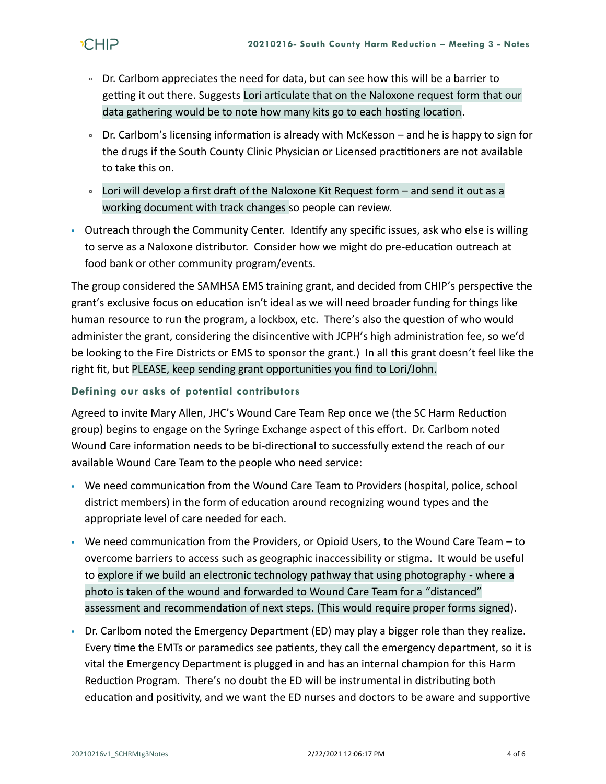- Dr. Carlbom appreciates the need for data, but can see how this will be a barrier to getting it out there. Suggests Lori articulate that on the Naloxone request form that our data gathering would be to note how many kits go to each hosting location.
- Dr. Carlbom's licensing information is already with McKesson and he is happy to sign for the drugs if the South County Clinic Physician or Licensed practitioners are not available to take this on.
- Lori will develop a first draft of the Naloxone Kit Request form and send it out as a working document with track changes so people can review.
- Outreach through the Community Center. Identify any specific issues, ask who else is willing to serve as a Naloxone distributor. Consider how we might do pre-education outreach at food bank or other community program/events.

The group considered the SAMHSA EMS training grant, and decided from CHIP's perspective the grant's exclusive focus on education isn't ideal as we will need broader funding for things like human resource to run the program, a lockbox, etc. There's also the question of who would administer the grant, considering the disincentive with JCPH's high administration fee, so we'd be looking to the Fire Districts or EMS to sponsor the grant.) In all this grant doesn't feel like the right fit, but PLEASE, keep sending grant opportunities you find to Lori/John.

# **Defining our asks of potential contributors**

Agreed to invite Mary Allen, JHC's Wound Care Team Rep once we (the SC Harm Reduction group) begins to engage on the Syringe Exchange aspect of this effort. Dr. Carlbom noted Wound Care information needs to be bi-directional to successfully extend the reach of our available Wound Care Team to the people who need service:

- We need communication from the Wound Care Team to Providers (hospital, police, school district members) in the form of education around recognizing wound types and the appropriate level of care needed for each.
- We need communication from the Providers, or Opioid Users, to the Wound Care Team to overcome barriers to access such as geographic inaccessibility or stigma. It would be useful to explore if we build an electronic technology pathway that using photography - where a photo is taken of the wound and forwarded to Wound Care Team for a "distanced" assessment and recommendation of next steps. (This would require proper forms signed).
- Dr. Carlbom noted the Emergency Department (ED) may play a bigger role than they realize. Every time the EMTs or paramedics see patients, they call the emergency department, so it is vital the Emergency Department is plugged in and has an internal champion for this Harm Reduction Program. There's no doubt the ED will be instrumental in distributing both education and positivity, and we want the ED nurses and doctors to be aware and supportive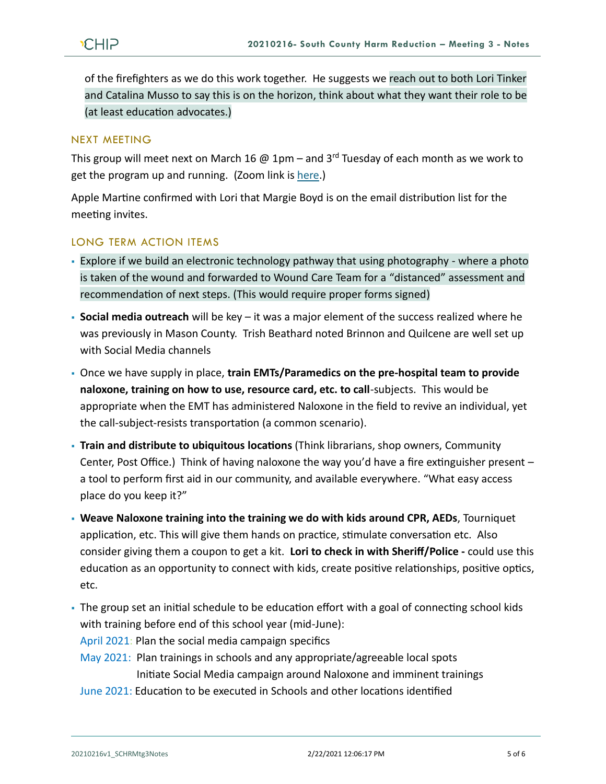of the firefighters as we do this work together. He suggests we reach out to both Lori Tinker and Catalina Musso to say this is on the horizon, think about what they want their role to be (at least education advocates.)

## NEXT MEETING

This group will meet next on March 16  $@$  1pm – and 3<sup>rd</sup> Tuesday of each month as we work to get the program up and running. (Zoom link is [here.](https://zoom.us/j/97908186807?pwd=QTFtTTNJRkFnRzJwZ1poK2lvcWxUdz09))

Apple Martine confirmed with Lori that Margie Boyd is on the email distribution list for the meeting invites.

### LONG TERM ACTION ITEMS

- Explore if we build an electronic technology pathway that using photography where a photo is taken of the wound and forwarded to Wound Care Team for a "distanced" assessment and recommendation of next steps. (This would require proper forms signed)
- **Social media outreach** will be key it was a major element of the success realized where he was previously in Mason County. Trish Beathard noted Brinnon and Quilcene are well set up with Social Media channels
- Once we have supply in place, **train EMTs/Paramedics on the pre-hospital team to provide naloxone, training on how to use, resource card, etc. to call**-subjects. This would be appropriate when the EMT has administered Naloxone in the field to revive an individual, yet the call-subject-resists transportation (a common scenario).
- **Train and distribute to ubiquitous locations** (Think librarians, shop owners, Community Center, Post Office.) Think of having naloxone the way you'd have a fire extinguisher present – a tool to perform first aid in our community, and available everywhere. "What easy access place do you keep it?"
- **Weave Naloxone training into the training we do with kids around CPR, AEDs**, Tourniquet application, etc. This will give them hands on practice, stimulate conversation etc. Also consider giving them a coupon to get a kit. **Lori to check in with Sheriff/Police -** could use this education as an opportunity to connect with kids, create positive relationships, positive optics, etc.
- The group set an initial schedule to be education effort with a goal of connecting school kids with training before end of this school year (mid-June):

April 2021: Plan the social media campaign specifics

- May 2021: Plan trainings in schools and any appropriate/agreeable local spots Initiate Social Media campaign around Naloxone and imminent trainings
- June 2021: Education to be executed in Schools and other locations identified